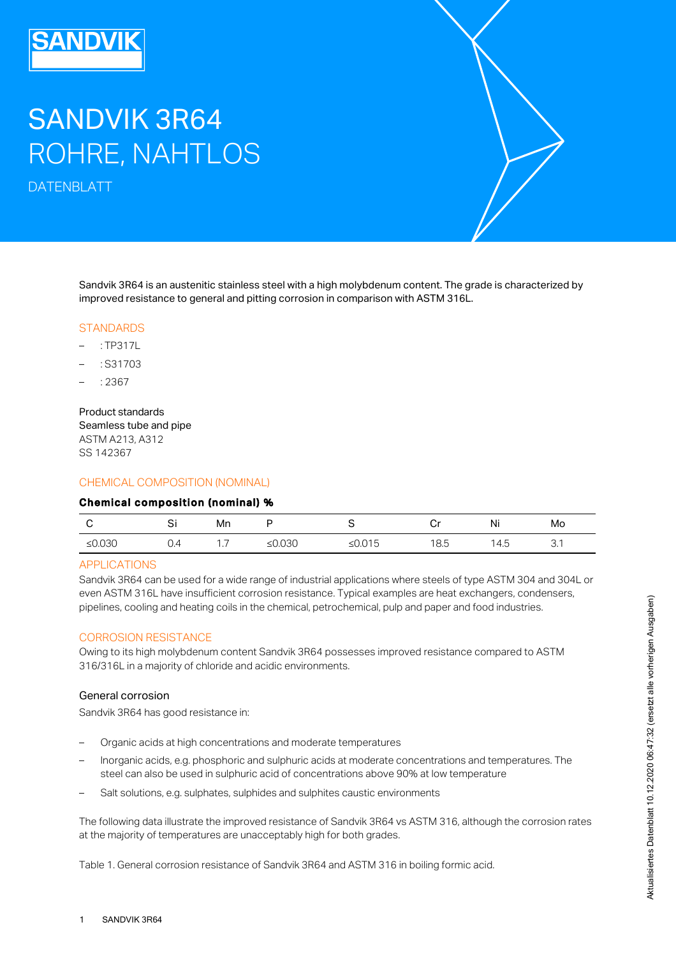# SANDVIK 3R64 ROHRE, NAHTLOS

DATENBLATT

Sandvik 3R64 is an austenitic stainless steel with a high molybdenum content. The grade is characterized by improved resistance to general and pitting corrosion in comparison with ASTM 316L.

#### **STANDARDS**

- $\cdot$  TP317L
- : S31703
- : 2367

Product standards Seamless tube and pipe ASTM A213, A312 SS 142367

# CHEMICAL COMPOSITION (NOMINAL)

## Chemical composition (nominal) %

|           | ັ   | Mn       |           |        |      | Ni    | Mo |
|-----------|-----|----------|-----------|--------|------|-------|----|
| ≤ $0.030$ | U.4 | $\cdots$ | ≤ $0.030$ | ≤0.015 | 18.5 | ' 4.5 | .ب |

# APPLICATIONS

Sandvik 3R64 can be used for a wide range of industrial applications where steels of type ASTM 304 and 304L or even ASTM 316L have insufficient corrosion resistance. Typical examples are heat exchangers, condensers, pipelines, cooling and heating coils in the chemical, petrochemical, pulp and paper and food industries.

## CORROSION RESISTANCE

Owing to its high molybdenum content Sandvik 3R64 possesses improved resistance compared to ASTM 316/316L in a majority of chloride and acidic environments.

## General corrosion

Sandvik 3R64 has good resistance in:

- Organic acids at high concentrations and moderate temperatures
- Inorganic acids, e.g. phosphoric and sulphuric acids at moderate concentrations and temperatures. The steel can also be used in sulphuric acid of concentrations above 90% at low temperature –
- Salt solutions, e.g. sulphates, sulphides and sulphites caustic environments

The following data illustrate the improved resistance of Sandvik 3R64 vs ASTM 316, although the corrosion rates at the majority of temperatures are unacceptably high for both grades.

Table 1. General corrosion resistance of Sandvik 3R64 and ASTM 316 in boiling formic acid.

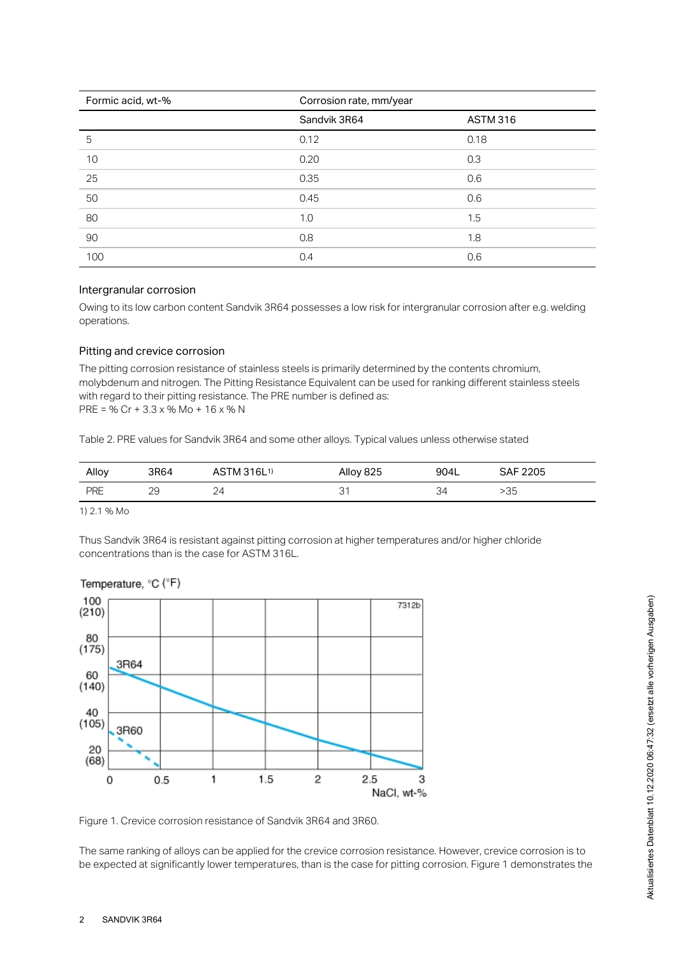| Formic acid, wt-% | Corrosion rate, mm/year |                 |  |
|-------------------|-------------------------|-----------------|--|
|                   | Sandvik 3R64            | <b>ASTM 316</b> |  |
| 5                 | 0.12                    | 0.18            |  |
| 10                | 0.20                    | 0.3             |  |
| 25                | 0.35                    | 0.6             |  |
| 50                | 0.45                    | 0.6             |  |
| 80                | 1.0                     | 1.5             |  |
| 90                | 0.8                     | 1.8             |  |
| 100               | 0.4                     | 0.6             |  |

## Intergranular corrosion

Owing to its low carbon content Sandvik 3R64 possesses a low risk for intergranular corrosion after e.g. welding operations.

## Pitting and crevice corrosion

The pitting corrosion resistance of stainless steels is primarily determined by the contents chromium, molybdenum and nitrogen. The Pitting Resistance Equivalent can be used for ranking different stainless steels with regard to their pitting resistance. The PRE number is defined as: PRE = % Cr +  $3.3 \times$  % Mo +  $16 \times$  % N

Table 2. PRE values for Sandvik 3R64 and some other alloys. Typical values unless otherwise stated

| Alloy | 3R64      | ASTM 316L <sup>1)</sup> | Alloy 825 | 904L | <b>SAF 2205</b> |
|-------|-----------|-------------------------|-----------|------|-----------------|
| PRE   | ാവ<br>ں ے | 24                      | ⌒ィ        | 34   | $\cap$<br>>35   |

1) 2.1 % Mo

Thus Sandvik 3R64 is resistant against pitting corrosion at higher temperatures and/or higher chloride concentrations than is the case for ASTM 316L.



Temperature, °C (°F)

Figure 1. Crevice corrosion resistance of Sandvik 3R64 and 3R60.

The same ranking of alloys can be applied for the crevice corrosion resistance. However, crevice corrosion is to be expected at significantly lower temperatures, than is the case for pitting corrosion. Figure 1 demonstrates the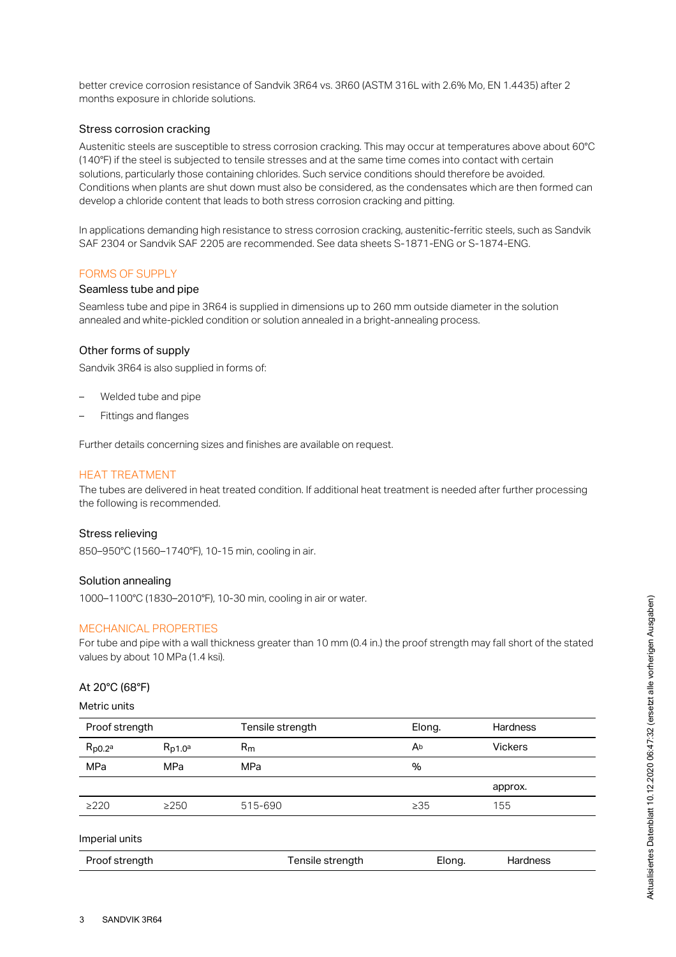better crevice corrosion resistance of Sandvik 3R64 vs. 3R60 (ASTM 316L with 2.6% Mo, EN 1.4435) after 2 months exposure in chloride solutions.

#### Stress corrosion cracking

Austenitic steels are susceptible to stress corrosion cracking. This may occur at temperatures above about 60°C (140°F) if the steel is subjected to tensile stresses and at the same time comes into contact with certain solutions, particularly those containing chlorides. Such service conditions should therefore be avoided. Conditions when plants are shut down must also be considered, as the condensates which are then formed can develop a chloride content that leads to both stress corrosion cracking and pitting.

In applications demanding high resistance to stress corrosion cracking, austenitic-ferritic steels, such as Sandvik SAF 2304 or Sandvik SAF 2205 are recommended. See data sheets S-1871-ENG or S-1874-ENG.

## FORMS OF SUPPLY

#### Seamless tube and pipe

Seamless tube and pipe in 3R64 is supplied in dimensions up to 260 mm outside diameter in the solution annealed and white-pickled condition or solution annealed in a bright-annealing process.

#### Other forms of supply

Sandvik 3R64 is also supplied in forms of:

- Welded tube and pipe
- Fittings and flanges

Further details concerning sizes and finishes are available on request.

## HEAT TREATMENT

The tubes are delivered in heat treated condition. If additional heat treatment is needed after further processing the following is recommended.

#### Stress relieving

850–950°C (1560–1740°F), 10-15 min, cooling in air.

## Solution annealing

1000–1100°C (1830–2010°F), 10-30 min, cooling in air or water.

#### MECHANICAL PROPERTIES

For tube and pipe with a wall thickness greater than 10 mm (0.4 in.) the proof strength may fall short of the stated values by about 10 MPa (1.4 ksi).

#### At 20°C (68°F)

Metric units

| Proof strength     |                    | Tensile strength | Elong.    | Hardness       |
|--------------------|--------------------|------------------|-----------|----------------|
| Rp0.2 <sup>a</sup> | Rp1.0 <sup>a</sup> | R <sub>m</sub>   | Ab        | <b>Vickers</b> |
| MPa                | <b>MPa</b>         | <b>MPa</b>       | %         |                |
|                    |                    |                  |           | approx.        |
| $\geq$ 220         | $\geq$ 250         | 515-690          | $\geq 35$ | 155            |
| Imperial units     |                    |                  |           |                |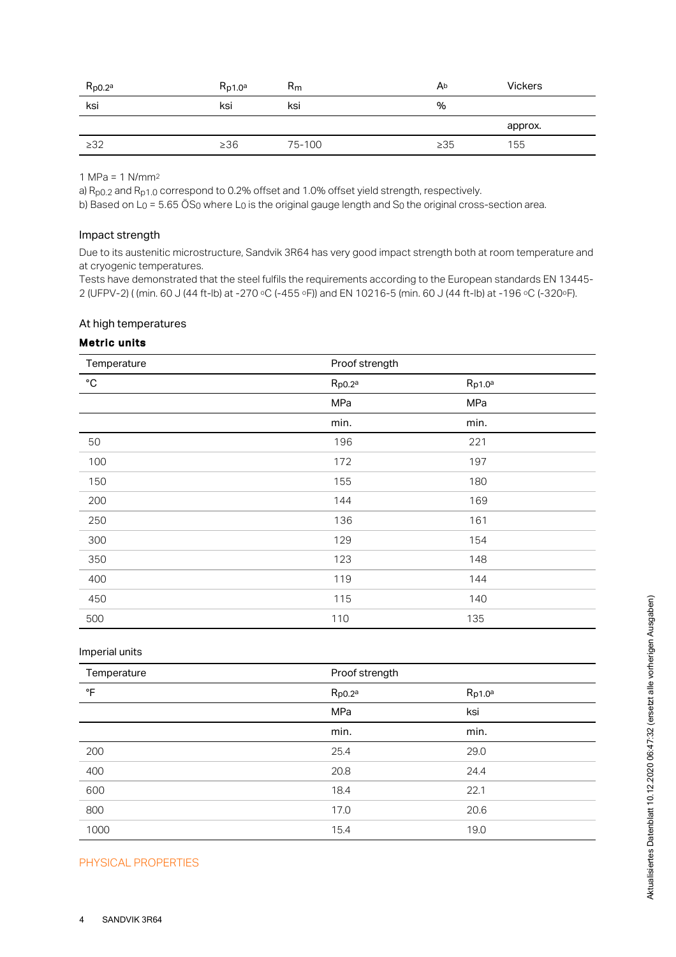| Rp0.2 <sup>a</sup> | Rp1.0 <sup>a</sup> | $R_{m}$ | Ab        | <b>Vickers</b> |
|--------------------|--------------------|---------|-----------|----------------|
| ksi                | ksi                | ksi     | %         |                |
|                    |                    |         |           | approx.        |
|                    |                    |         |           |                |
| $\geq$ 32          | $\geq 36$          | 75-100  | $\geq 35$ | 155            |

1 MPa = 1 N/mm 2

a)  $R_{p0.2}$  and  $R_{p1.0}$  correspond to 0.2% offset and 1.0% offset yield strength, respectively.

b) Based on L $_{\rm O}$  = 5.65 ÖS $_{\rm O}$  where L $_{\rm O}$  is the original gauge length and S $_{\rm O}$  the original cross-section area.

#### Impact strength

Due to its austenitic microstructure, Sandvik 3R64 has very good impact strength both at room temperature and at cryogenic temperatures.

Tests have demonstrated that the steel fulfils the requirements according to the European standards EN 13445- 2 (UFPV-2) ( (min. 60 J (44 ft-lb) at -270 ∘C (-455 ∘F)) and EN 10216-5 (min. 60 J (44 ft-lb) at -196 ∘C (-320∘F).

## At high temperatures

# Metric units

| Temperature  | Proof strength |                    |  |
|--------------|----------------|--------------------|--|
| $^{\circ}$ C | Rp0.2a         | Rp1.0 <sup>a</sup> |  |
|              | MPa            | MPa                |  |
|              | min.           | min.               |  |
| 50           | 196            | 221                |  |
| 100          | 172            | 197                |  |
| 150          | 155            | 180                |  |
| 200          | 144            | 169                |  |
| 250          | 136            | 161                |  |
| 300          | 129            | 154                |  |
| 350          | 123            | 148                |  |
| 400          | 119            | 144                |  |
| 450          | 115            | 140                |  |
| 500          | 110            | 135                |  |

## Imperial units

| Temperature | Proof strength |                    |
|-------------|----------------|--------------------|
| °F          | $R_{p0.2a}$    | Rp1.0 <sup>a</sup> |
|             | MPa            | ksi                |
|             | min.           | min.               |
| 200         | 25.4           | 29.0               |
| 400         | 20.8           | 24.4               |
| 600         | 18.4           | 22.1               |
| 800         | 17.0           | 20.6               |
| 1000        | 15.4           | 19.0               |

# PHYSICAL PROPERTIES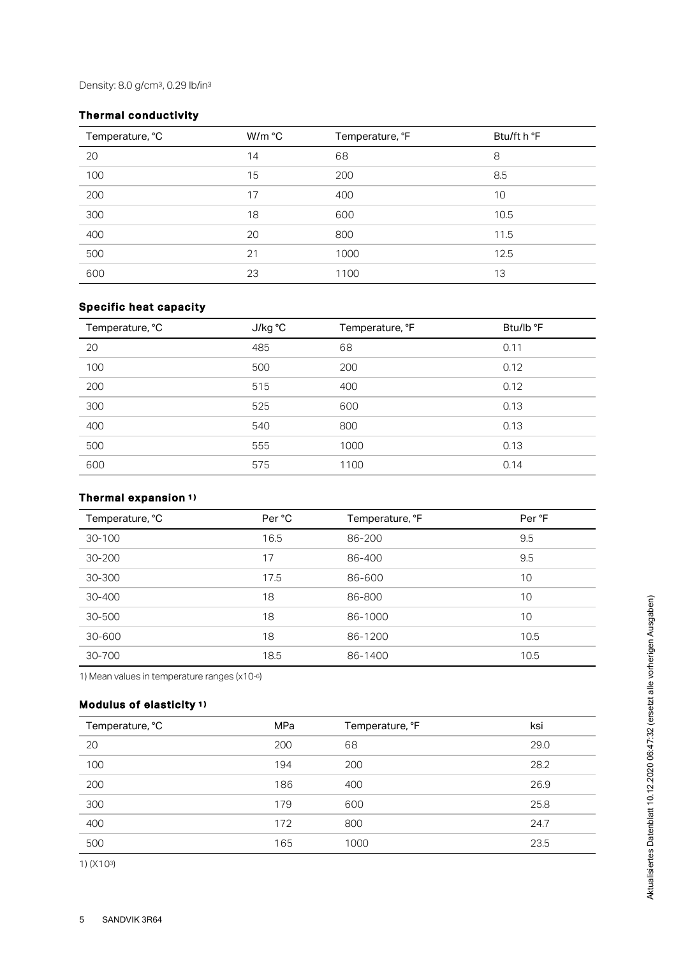# Thermal conductivity

| Temperature, °C | W/m °C | Temperature, °F | Btu/ft h °F |
|-----------------|--------|-----------------|-------------|
| 20              | 14     | 68              | 8           |
| 100             | 15     | 200             | 8.5         |
| 200             | 17     | 400             | 10          |
| 300             | 18     | 600             | 10.5        |
| 400             | 20     | 800             | 11.5        |
| 500             | 21     | 1000            | 12.5        |
| 600             | 23     | 1100            | 13          |

# Specific heat capacity

| Temperature, °C | J/kg °C | Temperature, °F | Btu/lb °F |
|-----------------|---------|-----------------|-----------|
| 20              | 485     | 68              | 0.11      |
| 100             | 500     | 200             | 0.12      |
| 200             | 515     | 400             | 0.12      |
| 300             | 525     | 600             | 0.13      |
| 400             | 540     | 800             | 0.13      |
| 500             | 555     | 1000            | 0.13      |
| 600             | 575     | 1100            | 0.14      |

#### Thermal expansion 1 )

| Temperature, °C | Per °C | Temperature, °F | Per °F |
|-----------------|--------|-----------------|--------|
| 30-100          | 16.5   | 86-200          | 9.5    |
| $30 - 200$      | 17     | 86-400          | 9.5    |
| 30-300          | 17.5   | 86-600          | 10     |
| 30-400          | 18     | 86-800          | 10     |
| 30-500          | 18     | 86-1000         | 10     |
| 30-600          | 18     | 86-1200         | 10.5   |
| 30-700          | 18.5   | 86-1400         | 10.5   |

1) Mean values in temperature ranges (x10-6)

## Modulus of elasticity 1 )

| Temperature, °C | <b>MPa</b> | Temperature, °F | ksi  |
|-----------------|------------|-----------------|------|
| 20              | 200        | 68              | 29.0 |
| 100             | 194        | 200             | 28.2 |
| 200             | 186        | 400             | 26.9 |
| 300             | 179        | 600             | 25.8 |
| 400             | 172        | 800             | 24.7 |
| 500             | 165        | 1000            | 23.5 |

1) (X103)